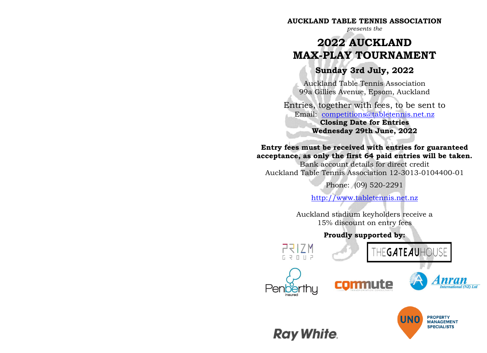#### **AUCKLAND TABLE TENNIS ASSOCIATION**

*presents the*

# **2022 AUCKLAND MAX-PLAY TOURNAMENT**

## **Sunday 3rd July, 2022**

Auckland Table Tennis Association 99a Gillies Avenue, Epsom, Auckland

Entries, together with fees, to be sent to Email: [competitions@tabletennis.net.nz](mailto:competitions@tabletennis.net.nz) **Closing Date for Entries Wednesday 29th June, 2022**

#### **Entry fees must be received with entries for guaranteed acceptance, as only the first 64 paid entries will be taken.**

Bank account details for direct credit Auckland Table Tennis Association 12-3013-0104400-01

Phone: (09) 520-2291

[http://www.tabletennis.net.nz](http://www.tabletennis.net.nz/)

Auckland stadium keyholders receive a 15% discount on entry fees

### **Proudly supported by:**